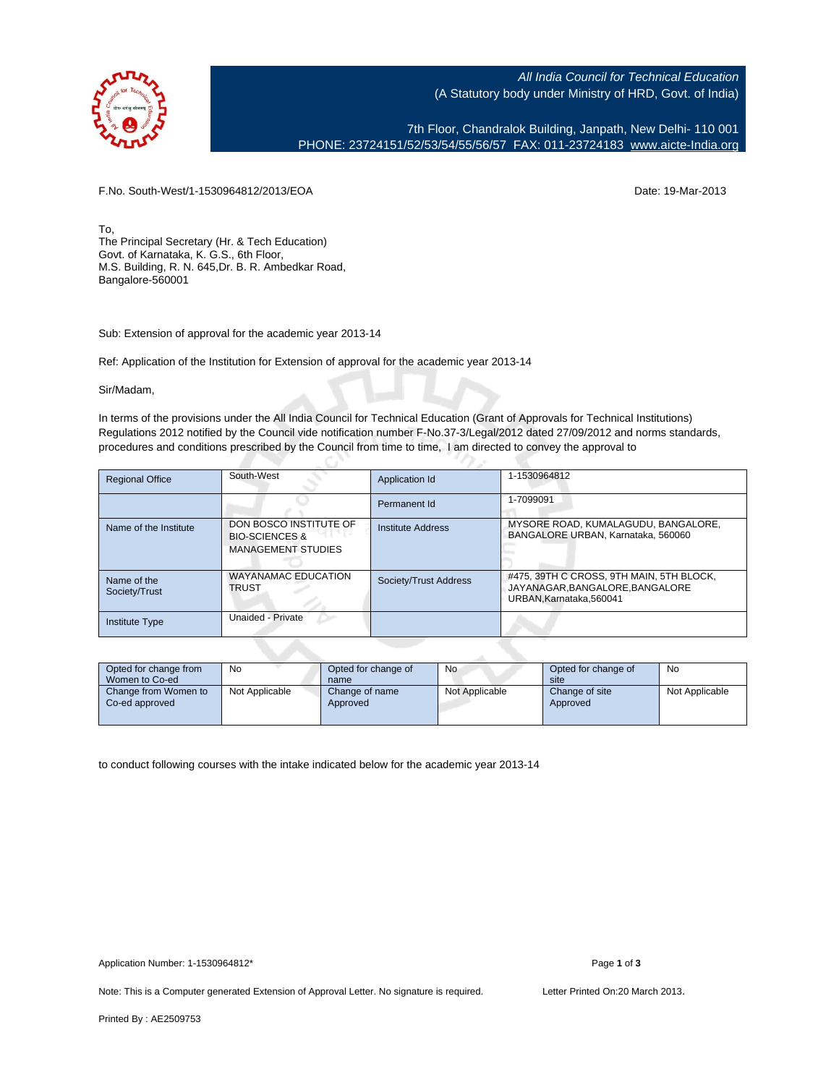

All India Council for Technical Education (A Statutory body under Ministry of HRD, Govt. of India)

7th Floor, Chandralok Building, Janpath, New Delhi- 110 001 PHONE: 23724151/52/53/54/55/56/57 FAX: 011-23724183 [www.aicte-India.org](http://www.aicte-India.org)

F.No. South-West/1-1530964812/2013/EOA Date: 19-Mar-2013

To, The Principal Secretary (Hr. & Tech Education) Govt. of Karnataka, K. G.S., 6th Floor, M.S. Building, R. N. 645,Dr. B. R. Ambedkar Road, Bangalore-560001

Sub: Extension of approval for the academic year 2013-14

Ref: Application of the Institution for Extension of approval for the academic year 2013-14

Sir/Madam,

In terms of the provisions under the All India Council for Technical Education (Grant of Approvals for Technical Institutions) Regulations 2012 notified by the Council vide notification number F-No.37-3/Legal/2012 dated 27/09/2012 and norms standards, procedures and conditions prescribed by the Council from time to time, I am directed to convey the approval to

| <b>Regional Office</b>       | South-West                                                                       | Application Id           | 1-1530964812                                                                                          |
|------------------------------|----------------------------------------------------------------------------------|--------------------------|-------------------------------------------------------------------------------------------------------|
|                              |                                                                                  | Permanent Id             | 1-7099091                                                                                             |
| Name of the Institute        | DON BOSCO INSTITUTE OF<br><b>BIO-SCIENCES &amp;</b><br><b>MANAGEMENT STUDIES</b> | <b>Institute Address</b> | MYSORE ROAD, KUMALAGUDU, BANGALORE,<br>BANGALORE URBAN, Karnataka, 560060                             |
| Name of the<br>Society/Trust | <b>WAYANAMAC EDUCATION</b><br><b>TRUST</b>                                       | Society/Trust Address    | #475, 39TH C CROSS, 9TH MAIN, 5TH BLOCK,<br>JAYANAGAR, BANGALORE, BANGALORE<br>URBAN.Karnataka.560041 |
| <b>Institute Type</b>        | Unaided - Private                                                                |                          |                                                                                                       |

| Opted for change from<br>Women to Co-ed | No             | Opted for change of<br>name | <b>No</b>      | Opted for change of<br>site | No             |
|-----------------------------------------|----------------|-----------------------------|----------------|-----------------------------|----------------|
| Change from Women to<br>Co-ed approved  | Not Applicable | Change of name<br>Approved  | Not Applicable | Change of site<br>Approved  | Not Applicable |

to conduct following courses with the intake indicated below for the academic year 2013-14

Note: This is a Computer generated Extension of Approval Letter. No signature is required. Letter Printed On:20 March 2013.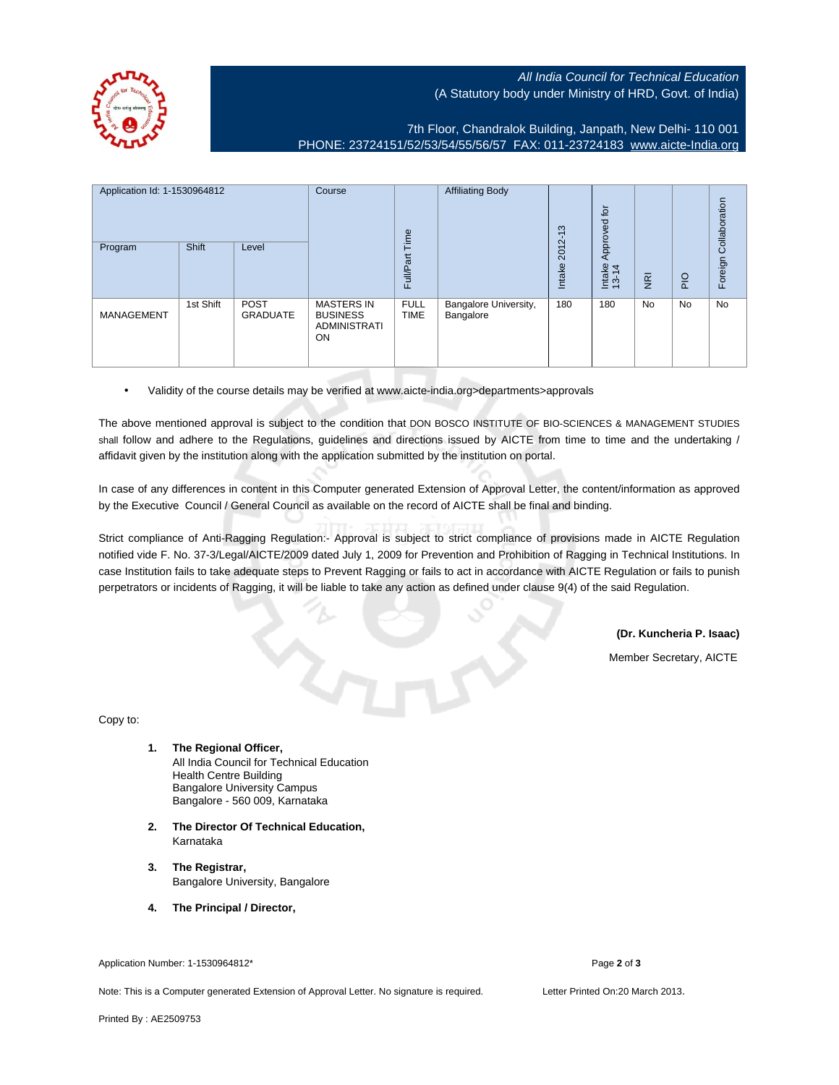All India Council for Technical Education (A Statutory body under Ministry of HRD, Govt. of India)



7th Floor, Chandralok Building, Janpath, New Delhi- 110 001 PHONE: 23724151/52/53/54/55/56/57 FAX: 011-23724183 [www.aicte-India.org](http://www.aicte-India.org)

| Application Id: 1-1530964812 |           | Course<br>Time                 | <b>Affiliating Body</b>                                           | S                          | $\overline{p}$<br>Approved         |                      |                 |                |                |                       |
|------------------------------|-----------|--------------------------------|-------------------------------------------------------------------|----------------------------|------------------------------------|----------------------|-----------------|----------------|----------------|-----------------------|
| Program                      | Shift     | Level                          |                                                                   | Full/Part                  |                                    | $2012 - 1$<br>Intake | Intake<br>13-14 | $\overline{g}$ | $\overline{P}$ | Foreign Collaboration |
| <b>MANAGEMENT</b>            | 1st Shift | <b>POST</b><br><b>GRADUATE</b> | <b>MASTERS IN</b><br><b>BUSINESS</b><br><b>ADMINISTRATI</b><br>ON | <b>FULL</b><br><b>TIME</b> | Bangalore University,<br>Bangalore | 180                  | 180             | <b>No</b>      | No             | No                    |

• Validity of the course details may be verified at www.aicte-india.org>departments>approvals

The above mentioned approval is subject to the condition that DON BOSCO INSTITUTE OF BIO-SCIENCES & MANAGEMENT STUDIES shall follow and adhere to the Regulations, guidelines and directions issued by AICTE from time to time and the undertaking / affidavit given by the institution along with the application submitted by the institution on portal.

In case of any differences in content in this Computer generated Extension of Approval Letter, the content/information as approved by the Executive Council / General Council as available on the record of AICTE shall be final and binding.

Strict compliance of Anti-Ragging Regulation:- Approval is subject to strict compliance of provisions made in AICTE Regulation notified vide F. No. 37-3/Legal/AICTE/2009 dated July 1, 2009 for Prevention and Prohibition of Ragging in Technical Institutions. In case Institution fails to take adequate steps to Prevent Ragging or fails to act in accordance with AICTE Regulation or fails to punish perpetrators or incidents of Ragging, it will be liable to take any action as defined under clause 9(4) of the said Regulation.

**(Dr. Kuncheria P. Isaac)**

Member Secretary, AICTE

Copy to:

- **1. The Regional Officer,** All India Council for Technical Education Health Centre Building Bangalore University Campus Bangalore - 560 009, Karnataka
- **2. The Director Of Technical Education,** Karnataka
- **3. The Registrar,** Bangalore University, Bangalore
- **4. The Principal / Director,**

Application Number: 1-1530964812\* Page **2** of **3**

Note: This is a Computer generated Extension of Approval Letter. No signature is required. Letter Printed On:20 March 2013.